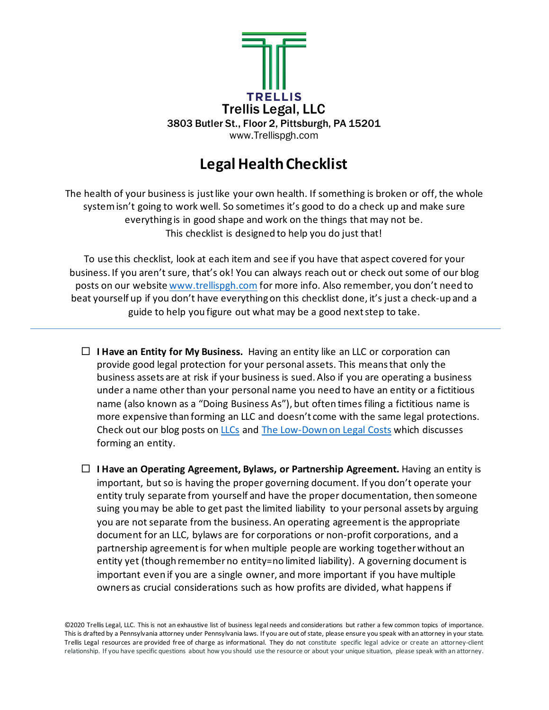

## **Legal Health Checklist**

The health of your business is just like your own health. If something is broken or off, the whole system isn't going to work well. So sometimes it's good to do a check up and make sure everything is in good shape and work on the things that may not be. This checklist is designed to help you do just that!

To use this checklist, look at each item and see if you have that aspect covered for your business. If you aren't sure, that's ok! You can always reach out or check out some of our blog posts on our websit[e www.trellispgh.com](http://www.trellispgh.com/) for more info. Also remember, you don't need to beat yourself up if you don't have everything on this checklist done, it's just a check-up and a guide to help you figure out what may be a good next step to take.

**I Have an Entity for My Business.** Having an entity like an LLC or corporation can provide good legal protection for your personal assets. This means that only the business assets are at risk if your business is sued. Also if you are operating a business under a name other than your personal name you need to have an entity or a fictitious name (also known as a "Doing Business As"), but often times filing a fictitious name is more expensive than forming an LLC and doesn't come with the same legal protections. Check out our blog posts on [LLCs](http://www.trellispgh.com/news/2016/8/11/what-does-limited-liability-mean-for-my-business) and [The Low-Down on Legal Costs](http://www.trellispgh.com/news/2020/4/24/the-low-down-on-legal-costs) which discusses forming an entity.

 **I Have an Operating Agreement, Bylaws, or Partnership Agreement.** Having an entity is important, but so is having the proper governing document. If you don't operate your entity truly separate from yourself and have the proper documentation, then someone suing you may be able to get past the limited liability to your personal assets by arguing you are not separate from the business. An operating agreement is the appropriate document for an LLC, bylaws are for corporations or non-profit corporations, and a partnership agreement is for when multiple people are working together without an entity yet (though rememberno entity=no limited liability). A governing document is important even if you are a single owner, and more important if you have multiple owners as crucial considerations such as how profits are divided, what happens if

©2020 Trellis Legal, LLC. This is not an exhaustive list of business legal needs and considerations but rather a few common topics of importance. This is drafted by a Pennsylvania attorney under Pennsylvania laws. If you are out of state, please ensure you speak with an attorney in your state. Trellis Legal resources are provided free of charge as informational. They do not constitute specific legal advice or create an attorney-client relationship. If you have specific questions about how you should use the resource or about your unique situation, please speak with an attorney.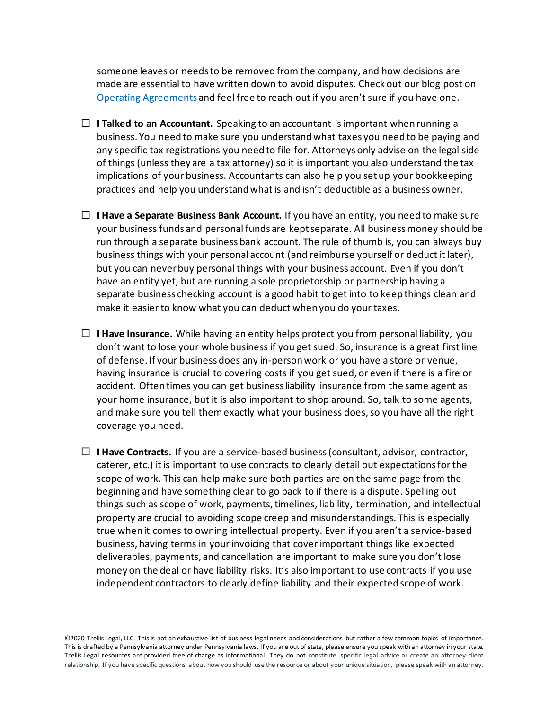someone leaves or needs to be removed from the company, and how decisions are made are essential to have written down to avoid disputes. Check out our blog post on [Operating Agreements](http://www.trellispgh.com/news/2019/1/10/new-year-new-operating-agreement) and feel free to reach out if you aren't sure if you have one.

- **I I Talked to an Accountant.** Speaking to an accountant is important when running a business. You need to make sure you understand what taxes you need to be paying and any specific tax registrations you need to file for. Attorneys only advise on the legal side of things (unless they are a tax attorney) so it is important you also understand the tax implications of your business. Accountants can also help you set up your bookkeeping practices and help you understand what is and isn't deductible as a business owner.
- **I Have a Separate Business Bank Account.** If you have an entity, you need to make sure your business funds and personal funds are kept separate. All business money should be run through a separate business bank account. The rule of thumb is, you can always buy business things with your personal account (and reimburse yourself or deduct it later), but you can never buy personal things with your business account. Even if you don't have an entity yet, but are running a sole proprietorship or partnership having a separate business checking account is a good habit to get into to keep things clean and make it easier to know what you can deduct when you do your taxes.
- $\Box$  **I Have Insurance.** While having an entity helps protect you from personal liability, you don't want to lose your whole business if you get sued. So, insurance is a great first line of defense. If your business does any in-person work or you have a store or venue, having insurance is crucial to covering costs if you get sued, or even if there is a fire or accident. Often times you can get business liability insurance from the same agent as your home insurance, but it is also important to shop around. So, talk to some agents, and make sure you tell them exactly what your business does,so you have all the right coverage you need.
- $\Box$  **I Have Contracts.** If you are a service-based business (consultant, advisor, contractor, caterer, etc.) it is important to use contracts to clearly detail out expectations for the scope of work. This can help make sure both parties are on the same page from the beginning and have something clear to go back to if there is a dispute. Spelling out things such as scope of work, payments, timelines, liability, termination, and intellectual property are crucial to avoiding scope creep and misunderstandings. This is especially true when it comes to owning intellectual property. Even if you aren't a service-based business, having terms in your invoicing that cover important things like expected deliverables, payments, and cancellation are important to make sure you don't lose money on the deal or have liability risks. It's also important to use contracts if you use independent contractors to clearly define liability and their expected scope of work.

©2020 Trellis Legal, LLC. This is not an exhaustive list of business legal needs and considerations but rather a few common topics of importance. This is drafted by a Pennsylvania attorney under Pennsylvania laws. If you are out of state, please ensure you speak with an attorney in your state. Trellis Legal resources are provided free of charge as informational. They do not constitute specific legal advice or create an attorney-client relationship. If you have specific questions about how you should use the resource or about your unique situation, please speak with an attorney.